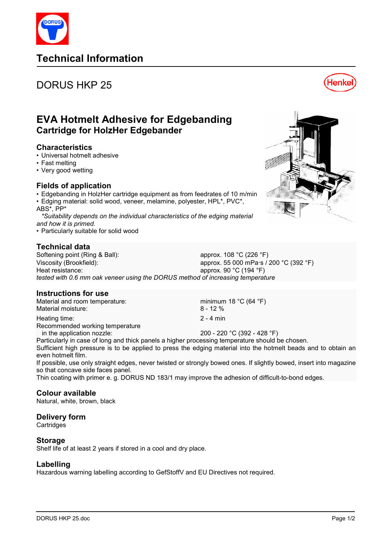# **Technical Information**

# DORUS HKP 25

# **EVA Hotmelt Adhesive for Edgebanding Cartridge for HolzHer Edgebander**

### **Characteristics**

- Universal hotmelt adhesive
- Fast melting
- Very good wetting

## **Fields of application**

- Edgebanding in HolzHer cartridge equipment as from feedrates of 10 m/min
- Edging material: solid wood, veneer, melamine, polyester, HPL\*, PVC\*, ABS\*, PP\*
- *\*Suitability depends on the individual characteristics of the edging material and how it is primed.*
- Particularly suitable for solid wood

# **Technical data**

Softening point (Ring & Ball): approx. 108 °C (226 °F) Viscosity (Brookfield): approx. 55 000 mPa·s / 200 °C (392 °F) Heat resistance: approx. 90 °C (194 °F) *tested with 0.6 mm oak veneer using the DORUS method of increasing temperature* 

## **Instructions for use**

Material and room temperature: minimum 18 °C (64 °F)<br>Material moisture: minimum 18 °C (64 °F) Material moisture:

Heating time: 2 - 4 min Recommended working temperature

in the application nozzle:  $200 - 220 \degree C (392 - 428 \degree F)$ Particularly in case of long and thick panels a higher processing temperature should be chosen.

Sufficient high pressure is to be applied to press the edging material into the hotmelt beads and to obtain an even hotmelt film.

If possible, use only straight edges, never twisted or strongly bowed ones. If slightly bowed, insert into magazine so that concave side faces panel.

Thin coating with primer e. g. DORUS ND 183/1 may improve the adhesion of difficult-to-bond edges.

#### **Colour available**

Natural, white, brown, black

#### **Delivery form**

**Cartridges** 

#### **Storage**

Shelf life of at least 2 years if stored in a cool and dry place.

#### **Labelling**

Hazardous warning labelling according to GefStoffV and EU Directives not required.